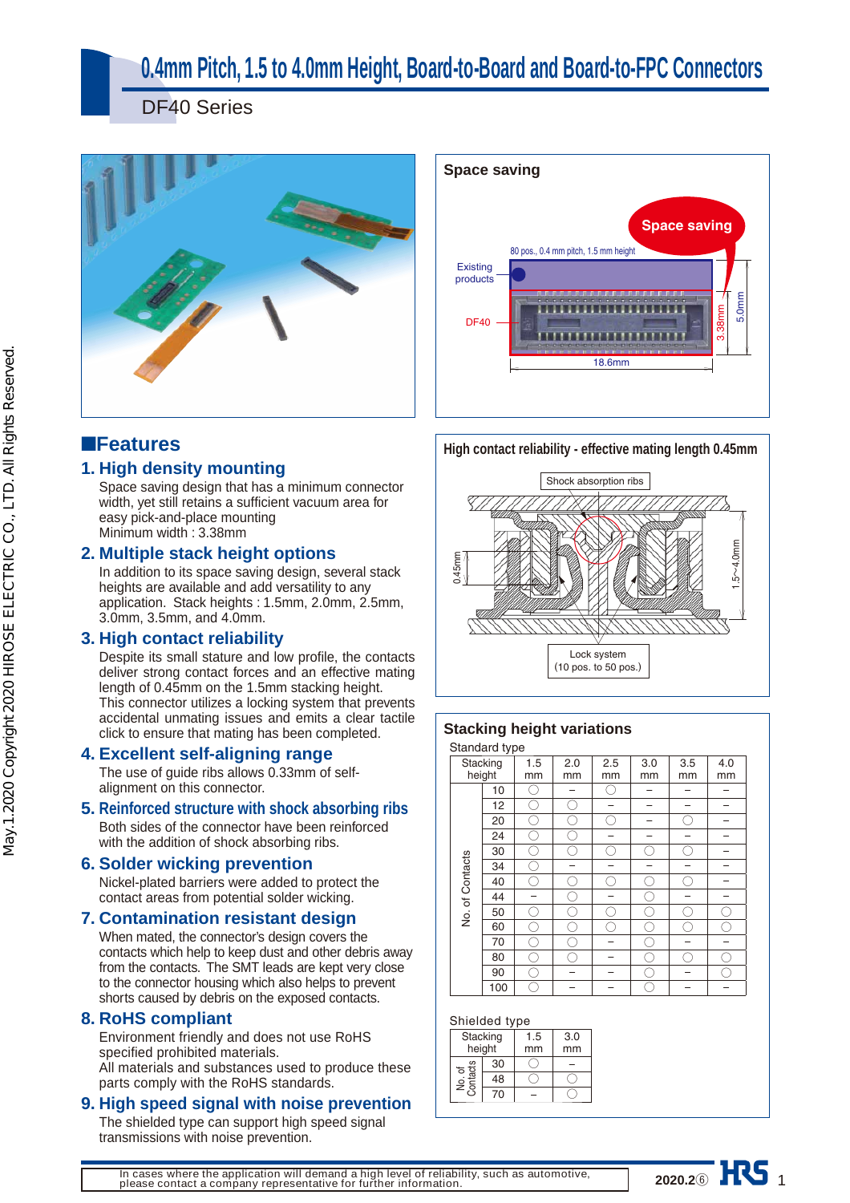# **0.4mm Pitch, 1.5 to 4.0mm Height, Board-to-Board and Board-to-FPC Connectors**

DF40 Series





# ■**Features**

## **1. High density mounting**

Space saving design that has a minimum connector width, yet still retains a sufficient vacuum area for easy pick-and-place mounting Minimum width : 3.38mm

## **2. Multiple stack height options**

In addition to its space saving design, several stack heights are available and add versatility to any application. Stack heights : 1.5mm, 2.0mm, 2.5mm, 3.0mm, 3.5mm, and 4.0mm.

## **3. High contact reliability**

Despite its small stature and low profile, the contacts deliver strong contact forces and an effective mating length of 0.45mm on the 1.5mm stacking height. This connector utilizes a locking system that prevents accidental unmating issues and emits a clear tactile click to ensure that mating has been completed.

## **4. Excellent self-aligning range**

The use of guide ribs allows 0.33mm of selfalignment on this connector.

## **5. Reinforced structure with shock absorbing ribs**

Both sides of the connector have been reinforced with the addition of shock absorbing ribs.

## **6. Solder wicking prevention**

Nickel-plated barriers were added to protect the contact areas from potential solder wicking.

## **7. Contamination resistant design**

When mated, the connector's design covers the contacts which help to keep dust and other debris away from the contacts. The SMT leads are kept very close to the connector housing which also helps to prevent shorts caused by debris on the exposed contacts.

## **8. RoHS compliant**

Environment friendly and does not use RoHS specified prohibited materials. All materials and substances used to produce these parts comply with the RoHS standards.

## **9. High speed signal with noise prevention**

The shielded type can support high speed signal transmissions with noise prevention.



## **Stacking height variations**

Standard type

| Stanuaru type   | Stacking<br>height | 1.5<br>mm | 2.0<br>mm | 2.5<br>mm | 3.0<br>mm | 3.5<br>mm | 4.0<br>mm |
|-----------------|--------------------|-----------|-----------|-----------|-----------|-----------|-----------|
|                 | 10                 |           |           | r.        |           |           |           |
|                 | 12                 |           |           |           |           |           |           |
|                 | 20                 |           |           | r.        |           |           |           |
|                 | 24                 |           |           |           |           |           |           |
|                 | 30                 |           | r.        | r.        | C,        | e.        |           |
|                 | 34                 |           |           |           |           |           |           |
| No. of Contacts | 40                 |           |           | C,        |           |           |           |
|                 | 44                 |           |           |           |           |           |           |
|                 | 50                 |           |           |           | e.        |           |           |
|                 | 60                 |           |           | r.        | ۰.        |           |           |
|                 | 70                 | r.        |           |           | Ĉ,        |           |           |
|                 | 80                 |           |           |           |           |           |           |
|                 | 90                 |           |           |           | r.        |           |           |
|                 | 100                |           |           |           |           |           |           |

### Shielded type

| ununuu iypu        |        |           |           |  |
|--------------------|--------|-----------|-----------|--|
| Stacking           | height | 1.5<br>mm | 3.0<br>mm |  |
|                    | 30     |           |           |  |
| No. of<br>contacts | 48     |           |           |  |
|                    | 70     |           |           |  |

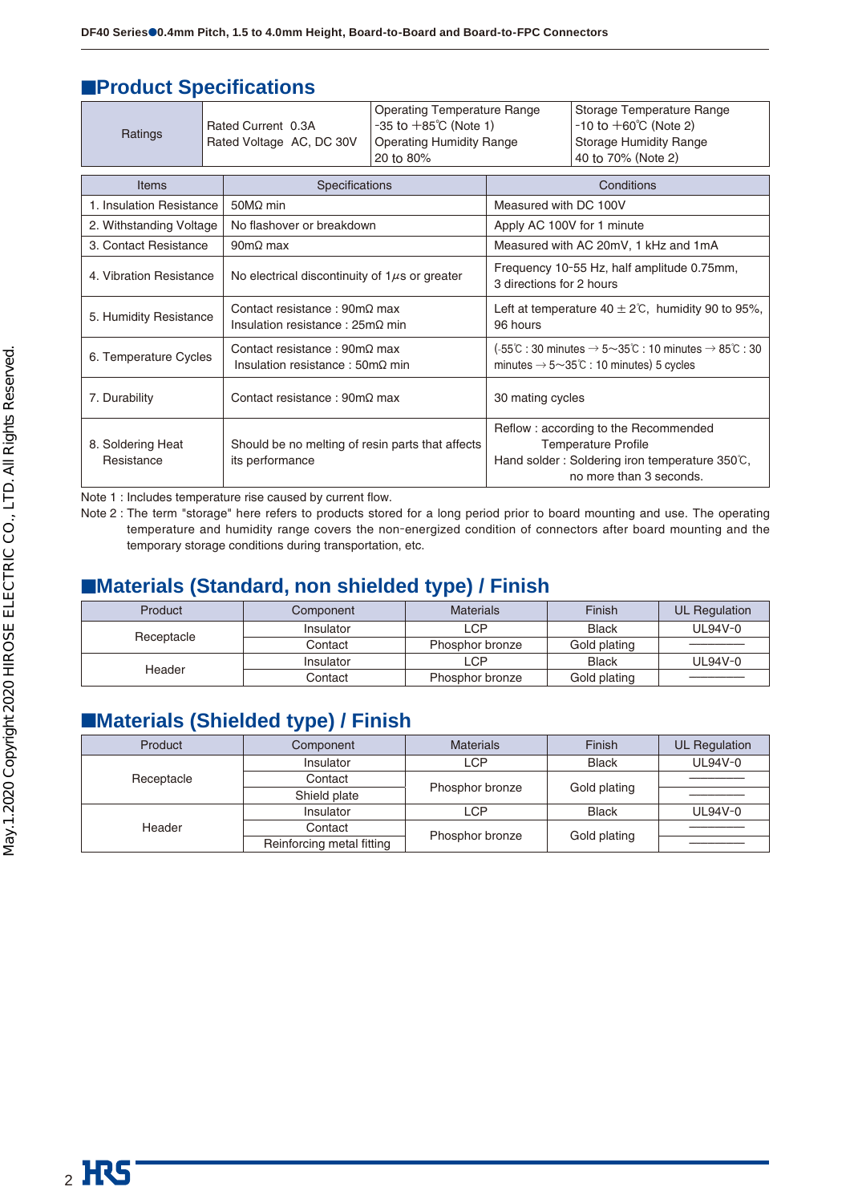## **EProduct Specifications**

| Ratings                                                      |                         | Rated Current 0.3A<br>Rated Voltage AC, DC 30V                                                 | <b>Operating Temperature Range</b><br>$-35$ to $+85^{\circ}$ C (Note 1)<br><b>Operating Humidity Range</b><br>20 to 80% |                            | Storage Temperature Range<br>$-10$ to $+60^{\circ}$ C (Note 2)<br><b>Storage Humidity Range</b><br>40 to 70% (Note 2)                                 |  |
|--------------------------------------------------------------|-------------------------|------------------------------------------------------------------------------------------------|-------------------------------------------------------------------------------------------------------------------------|----------------------------|-------------------------------------------------------------------------------------------------------------------------------------------------------|--|
| Items                                                        |                         | <b>Specifications</b>                                                                          |                                                                                                                         |                            | Conditions                                                                                                                                            |  |
| 1. Insulation Resistance                                     |                         | $50M\Omega$ min                                                                                |                                                                                                                         | Measured with DC 100V      |                                                                                                                                                       |  |
| 2. Withstanding Voltage                                      |                         | No flashover or breakdown                                                                      |                                                                                                                         | Apply AC 100V for 1 minute |                                                                                                                                                       |  |
| 3. Contact Resistance                                        |                         | $90 \text{m}\Omega$ max                                                                        |                                                                                                                         |                            | Measured with AC 20mV, 1 kHz and 1mA                                                                                                                  |  |
|                                                              | 4. Vibration Resistance |                                                                                                | No electrical discontinuity of $1\mu s$ or greater                                                                      |                            | Frequency 10-55 Hz, half amplitude 0.75mm,<br>3 directions for 2 hours                                                                                |  |
| 5. Humidity Resistance                                       |                         | Contact resistance: $90 \text{m}\Omega$ max<br>Insulation resistance : $25m\Omega$ min         |                                                                                                                         | 96 hours                   | Left at temperature $40 \pm 2^{\circ}$ C, humidity 90 to 95%,                                                                                         |  |
| 6. Temperature Cycles                                        |                         | Contact resistance: $90 \text{m}\Omega$ max<br>Insulation resistance : $50 \text{m}\Omega$ min |                                                                                                                         |                            | (-55°C : 30 minutes $\rightarrow$ 5~35°C : 10 minutes $\rightarrow$ 85°C : 30<br>minutes $\rightarrow$ 5 $\sim$ 35 $\degree$ C : 10 minutes) 5 cycles |  |
| Contact resistance: $90 \text{m}\Omega$ max<br>7. Durability |                         |                                                                                                | 30 mating cycles                                                                                                        |                            |                                                                                                                                                       |  |
| 8. Soldering Heat<br>Resistance                              |                         | Should be no melting of resin parts that affects<br>its performance                            |                                                                                                                         |                            | Reflow: according to the Recommended<br><b>Temperature Profile</b><br>Hand solder: Soldering iron temperature 350°C,<br>no more than 3 seconds.       |  |

Note 1 : Includes temperature rise caused by current flow.

Note 2 : The term "storage" here refers to products stored for a long period prior to board mounting and use. The operating temperature and humidity range covers the non-energized condition of connectors after board mounting and the temporary storage conditions during transportation, etc.

## ■**Materials (Standard, non shielded type) / Finish**

| Product    | Component | <b>Materials</b> | Finish       | UL Regulation |
|------------|-----------|------------------|--------------|---------------|
|            | Insulator | LCP              | <b>Black</b> | UL94V-0       |
| Receptacle | Contact   | Phosphor bronze  | Gold plating |               |
| Header     | Insulator | LCP              | <b>Black</b> | $UL94V-0$     |
|            | Contact   | Phosphor bronze  | Gold plating |               |

## ■**Materials (Shielded type) / Finish**

| Product    | Component                 | <b>Materials</b> | Finish       | <b>UL Regulation</b> |
|------------|---------------------------|------------------|--------------|----------------------|
|            | Insulator                 | LCP              | <b>Black</b> | UL94V-0              |
| Receptacle | Contact                   |                  |              |                      |
|            | Shield plate              | Phosphor bronze  | Gold plating |                      |
|            | Insulator                 | <b>LCP</b>       | <b>Black</b> | UL94V-0              |
| Header     | Contact                   |                  |              |                      |
|            | Reinforcing metal fitting | Phosphor bronze  | Gold plating |                      |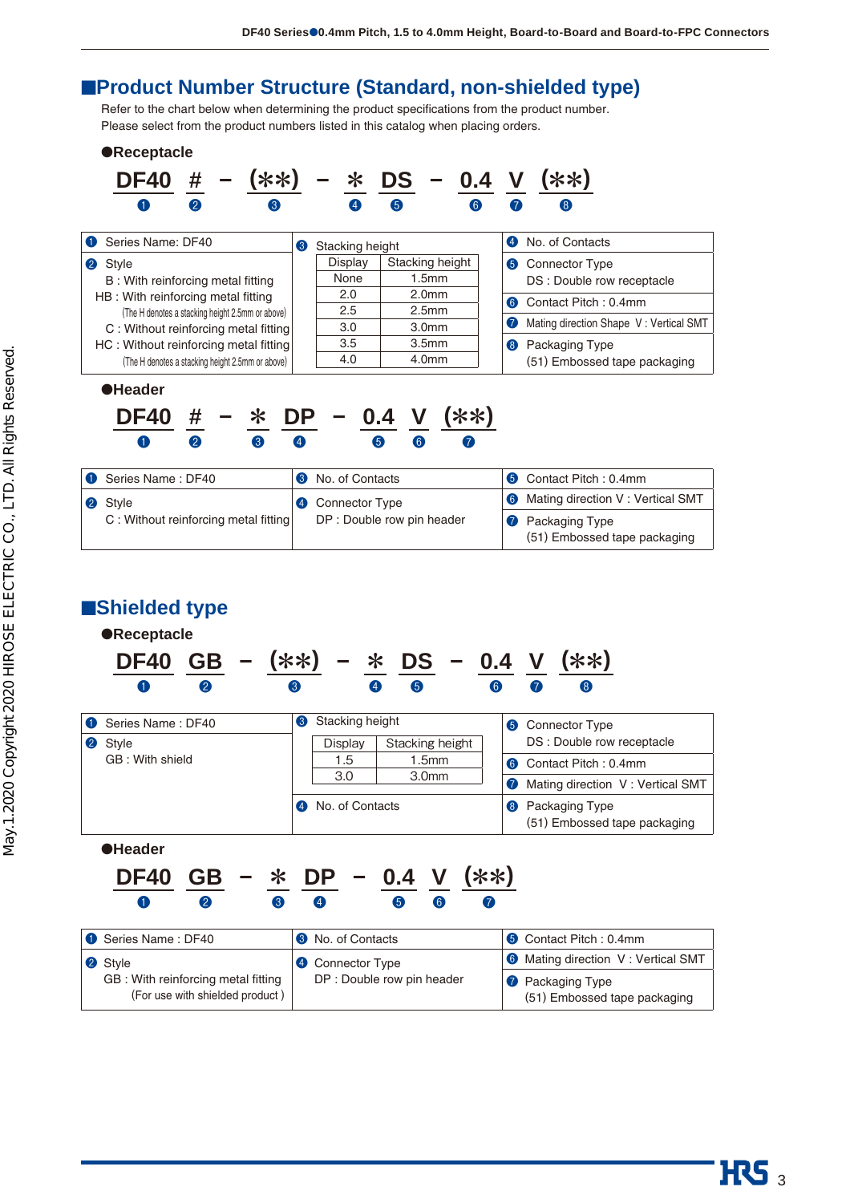## ■**Product Number Structure (Standard, non-shielded type)**

Refer to the chart below when determining the product specifications from the product number. Please select from the product numbers listed in this catalog when placing orders.



## ■**Shielded type**



| Series Name: DF40                                                     | <b>3</b> No. of Contacts   | <b>6</b> Contact Pitch: 0.4mm                           |
|-----------------------------------------------------------------------|----------------------------|---------------------------------------------------------|
| 2 Style                                                               | 4 Connector Type           | <b>6</b> Mating direction V: Vertical SMT               |
| GB: With reinforcing metal fitting<br>(For use with shielded product) | DP : Double row pin header | <b>2</b> Packaging Type<br>(51) Embossed tape packaging |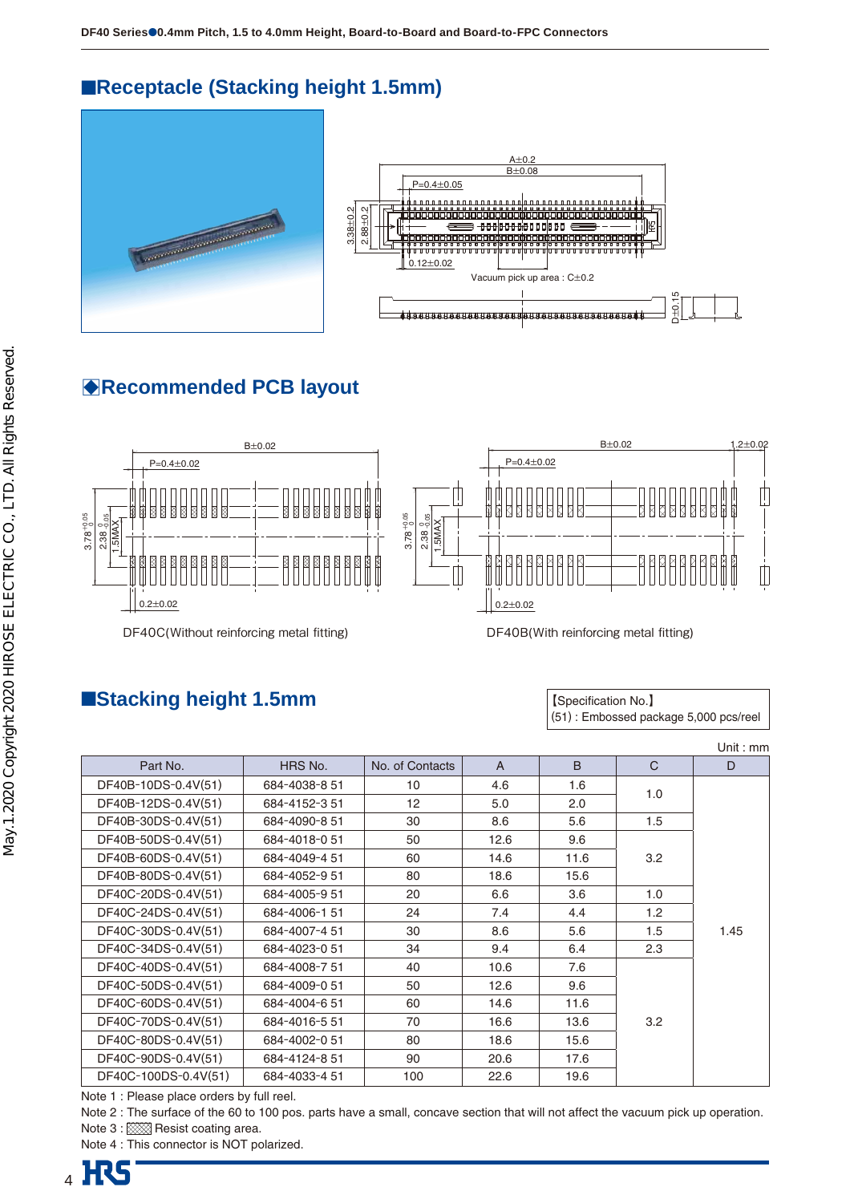## ■**Receptacle (Stacking height 1.5mm)**





# B**Recommended PCB layout**



DF40C(Without reinforcing metal fitting) DF40B(With reinforcing metal fitting)

## ■**Stacking height 1.5mm**

【Specification No.】 (51) : Embossed package 5,000 pcs/reel

|                      |               |                  |                |      |                  | Unit: $mm$ |
|----------------------|---------------|------------------|----------------|------|------------------|------------|
| Part No.             | HRS No.       | No. of Contacts  | $\overline{A}$ | B    | $\mathsf{C}$     | D          |
| DF40B-10DS-0.4V(51)  | 684-4038-8 51 | 10 <sup>10</sup> | 4.6            | 1.6  |                  |            |
| DF40B-12DS-0.4V(51)  | 684-4152-351  | 12 <sup>2</sup>  | 5.0            | 2.0  | 1.0              |            |
| DF40B-30DS-0.4V(51)  | 684-4090-8 51 | 30               | 8.6            | 5.6  | 1.5              |            |
| DF40B-50DS-0.4V(51)  | 684-4018-051  | 50               | 12.6           | 9.6  |                  |            |
| DF40B-60DS-0.4V(51)  | 684-4049-451  | 60               | 14.6           | 11.6 | 3.2              |            |
| DF40B-80DS-0.4V(51)  | 684-4052-9 51 | 80               | 18.6           | 15.6 |                  |            |
| DF40C-20DS-0.4V(51)  | 684-4005-9 51 | 20               | 6.6            | 3.6  | 1.0              |            |
| DF40C-24DS-0.4V(51)  | 684-4006-151  | 24               | 7.4            | 4.4  | 1.2 <sub>2</sub> |            |
| DF40C-30DS-0.4V(51)  | 684-4007-4 51 | 30               | 8.6            | 5.6  | 1.5              | 1.45       |
| DF40C-34DS-0.4V(51)  | 684-4023-0 51 | 34               | 9.4            | 6.4  | 2.3              |            |
| DF40C-40DS-0.4V(51)  | 684-4008-751  | 40               | 10.6           | 7.6  |                  |            |
| DF40C-50DS-0.4V(51)  | 684-4009-051  | 50               | 12.6           | 9.6  |                  |            |
| DF40C-60DS-0.4V(51)  | 684-4004-651  | 60               | 14.6           | 11.6 |                  |            |
| DF40C-70DS-0.4V(51)  | 684-4016-551  | 70               | 16.6           | 13.6 | 3.2              |            |
| DF40C-80DS-0.4V(51)  | 684-4002-051  | 80               | 18.6           | 15.6 |                  |            |
| DF40C-90DS-0.4V(51)  | 684-4124-851  | 90               | 20.6           | 17.6 |                  |            |
| DF40C-100DS-0.4V(51) | 684-4033-4 51 | 100              | 22.6           | 19.6 |                  |            |

Note 1 : Please place orders by full reel.

Note 2 : The surface of the 60 to 100 pos. parts have a small, concave section that will not affect the vacuum pick up operation. Note 3 : 888 Resist coating area.

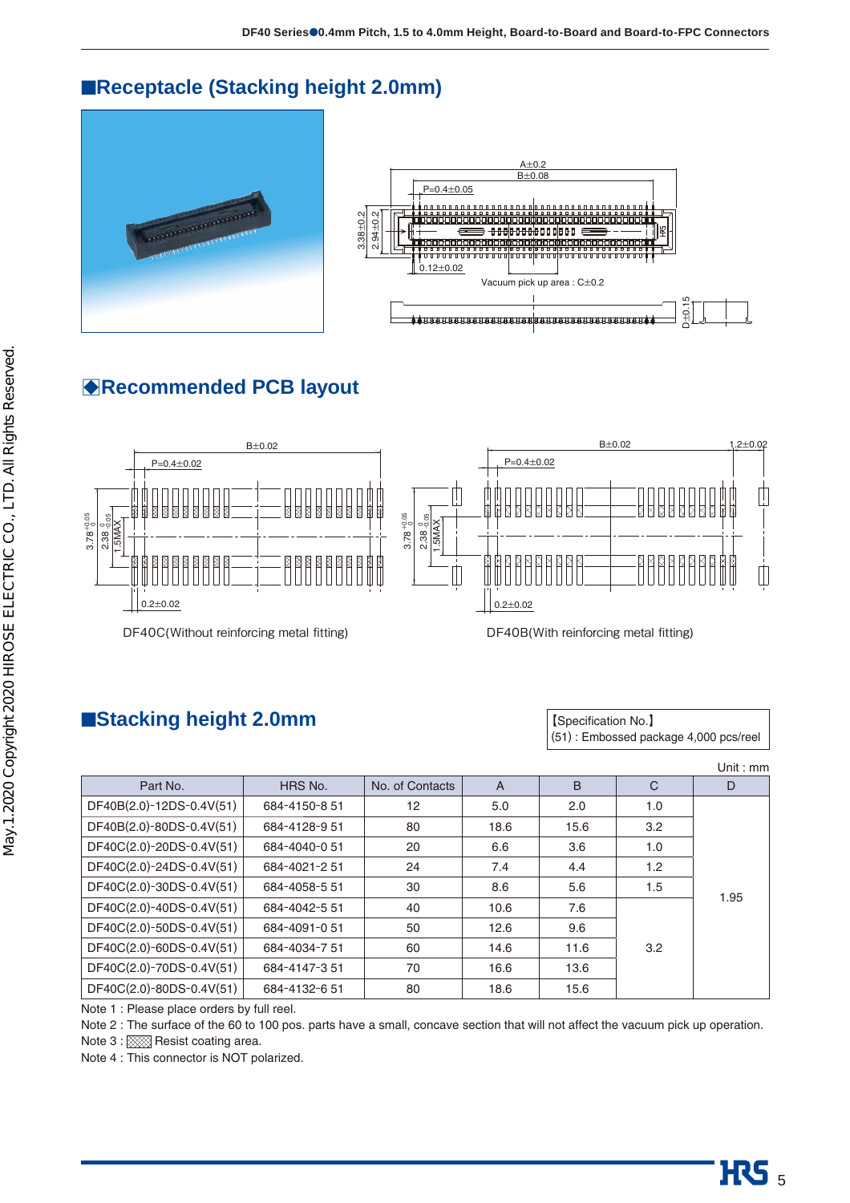## ■**Receptacle (Stacking height 2.0mm)**





# B**Recommended PCB layout**



DF40C(Without reinforcing metal fitting) DF40B(With reinforcing metal fitting)

## ■**Stacking height 2.0mm stacking is a stacking height 2.0mm**

(51) : Embossed package 4,000 pcs/reel

|                                           |               |                 |                |      |     | Unit : $mm$ |
|-------------------------------------------|---------------|-----------------|----------------|------|-----|-------------|
| Part No.                                  | HRS No.       | No. of Contacts | $\overline{A}$ | B    | C   | D           |
| DF40B(2.0)-12DS-0.4V(51)                  | 684-4150-8 51 | 12              | 5.0            | 2.0  | 1.0 |             |
| DF40B(2.0)-80DS-0.4V(51)                  | 684-4128-951  | 80              | 18.6           | 15.6 | 3.2 |             |
| DF40C(2.0)-20DS-0.4V(51)                  | 684-4040-051  | 20              | 6.6            | 3.6  | 1.0 |             |
| DF40C(2.0)-24DS-0.4V(51)                  | 684-4021-251  | 24              | 7.4            | 4.4  | 1.2 |             |
| DF40C(2.0)-30DS-0.4V(51)                  | 684-4058-5 51 | 30              | 8.6            | 5.6  | 1.5 |             |
| DF40C(2.0)-40DS-0.4V(51)                  | 684-4042-5 51 | 40              | 10.6           | 7.6  |     | 1.95        |
| DF40C(2.0)-50DS-0.4V(51)                  | 684-4091-051  | 50              | 12.6           | 9.6  |     |             |
| DF40C(2.0)-60DS-0.4V(51)                  | 684-4034-751  | 60              | 14.6           | 11.6 | 3.2 |             |
| DF40C(2.0)-70DS-0.4V(51)                  | 684-4147-351  | 70              | 16.6           | 13.6 |     |             |
| DF40C(2.0)-80DS-0.4V(51)                  | 684-4132-651  | 80              | 18.6           | 15.6 |     |             |
| Note 1: Please place orders by full reel. |               |                 |                |      |     |             |

Note 2 : The surface of the 60 to 100 pos. parts have a small, concave section that will not affect the vacuum pick up operation.

Note 3 : XXXX Resist coating area.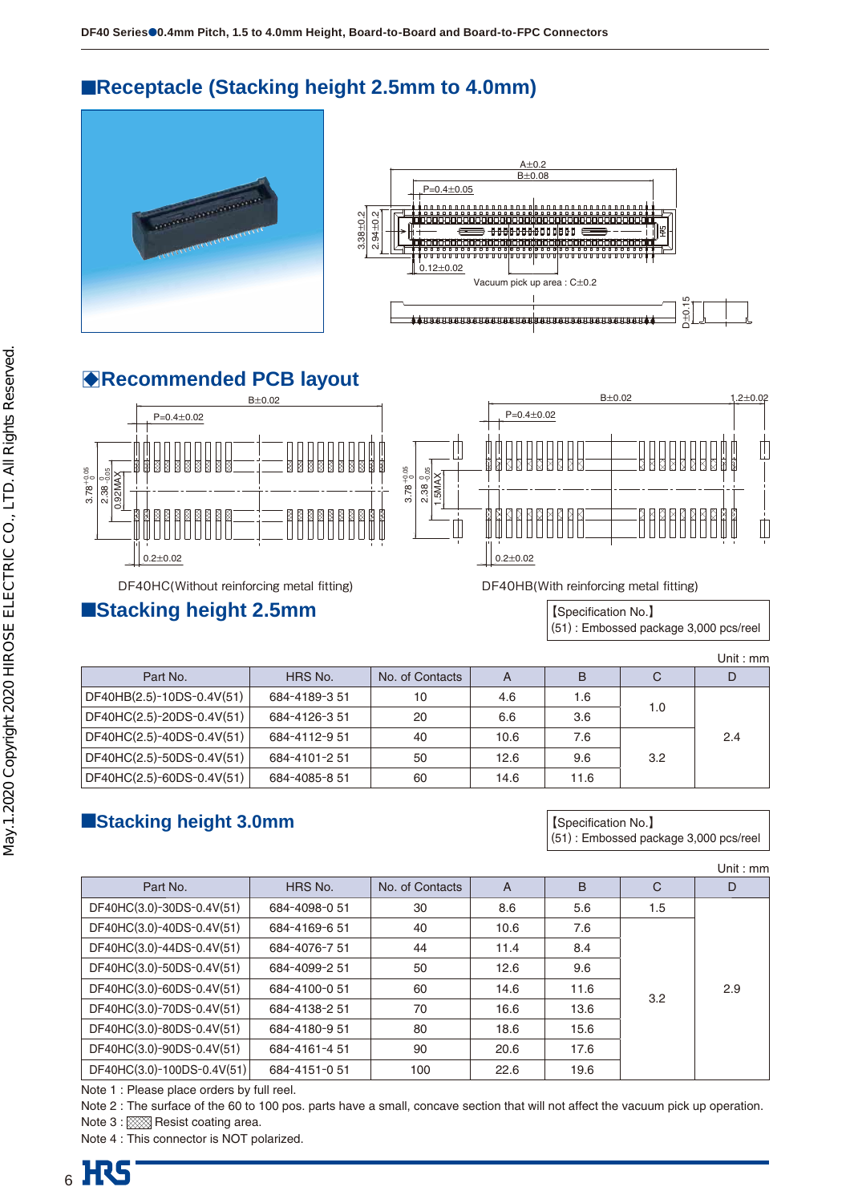# ■**Receptacle (Stacking height 2.5mm to 4.0mm)**





# B**Recommended PCB layout**



## ■**Stacking height 2.5mm stacking is a stacking height 2.5mm**

(51) : Embossed package 3,000 pcs/reel

|                           |               |                 |      |      |     | Unit : $mm$ |
|---------------------------|---------------|-----------------|------|------|-----|-------------|
| Part No.                  | HRS No.       | No. of Contacts | A    | В    | C   |             |
| DF40HB(2.5)-10DS-0.4V(51) | 684-4189-351  | 10              | 4.6  | 1.6  | 1.0 |             |
| DF40HC(2.5)-20DS-0.4V(51) | 684-4126-351  | 20              | 6.6  | 3.6  |     |             |
| DF40HC(2.5)-40DS-0.4V(51) | 684-4112-9 51 | 40              | 10.6 | 7.6  |     | 2.4         |
| DF40HC(2.5)-50DS-0.4V(51) | 684-4101-2 51 | 50              | 12.6 | 9.6  | 3.2 |             |
| DF40HC(2.5)-60DS-0.4V(51) | 684-4085-851  | 60              | 14.6 | 11.6 |     |             |

## ■**Stacking height 3.0mm b stacking height 3.0mm a a stacking is a stacking height 3.0mm**

(51) : Embossed package 3,000 pcs/reel

|                            |               |                 |      |      |     | Unit : $mm$ |
|----------------------------|---------------|-----------------|------|------|-----|-------------|
| Part No.                   | HRS No.       | No. of Contacts | A    | B    | C   | D           |
| DF40HC(3.0)-30DS-0.4V(51)  | 684-4098-0 51 | 30              | 8.6  | 5.6  | 1.5 |             |
| DF40HC(3.0)-40DS-0.4V(51)  | 684-4169-651  | 40              | 10.6 | 7.6  |     |             |
| DF40HC(3.0)-44DS-0.4V(51)  | 684-4076-7 51 | 44              | 11.4 | 8.4  |     |             |
| DF40HC(3.0)-50DS-0.4V(51)  | 684-4099-251  | 50              | 12.6 | 9.6  |     |             |
| DF40HC(3.0)-60DS-0.4V(51)  | 684-4100-051  | 60              | 14.6 | 11.6 | 3.2 | 2.9         |
| DF40HC(3.0)-70DS-0.4V(51)  | 684-4138-2 51 | 70              | 16.6 | 13.6 |     |             |
| DF40HC(3.0)-80DS-0.4V(51)  | 684-4180-9 51 | 80              | 18.6 | 15.6 |     |             |
| DF40HC(3.0)-90DS-0.4V(51)  | 684-4161-451  | 90              | 20.6 | 17.6 |     |             |
| DF40HC(3.0)-100DS-0.4V(51) | 684-4151-051  | 100             | 22.6 | 19.6 |     |             |

Note 1 : Please place orders by full reel.

Note 2 : The surface of the 60 to 100 pos. parts have a small, concave section that will not affect the vacuum pick up operation. Note 3 : XXXXI Resist coating area.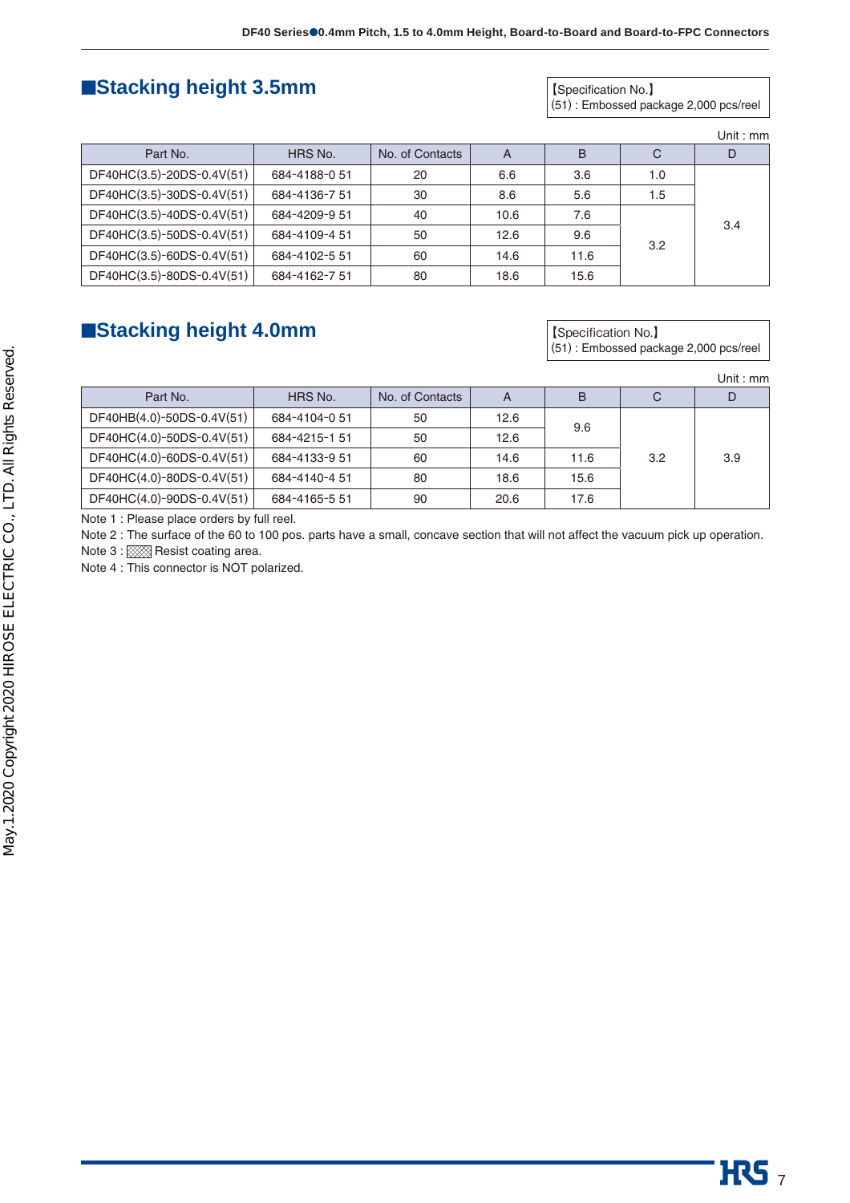## ■**Stacking height 3.5mm biggers and Stacking height 3.5mm**

(51) : Embossed package 2,000 pcs/reel

|  | Unit : $mm$ |  |
|--|-------------|--|
|  |             |  |
|  |             |  |

 $\overline{\text{HS}}$  <sub>7</sub>

| Part No.                  | HRS No.       | No. of Contacts | А    | B    | C          | D   |
|---------------------------|---------------|-----------------|------|------|------------|-----|
| DF40HC(3.5)-20DS-0.4V(51) | 684-4188-0 51 | 20              | 6.6  | 3.6  | 1.0<br>1.5 | 3.4 |
| DF40HC(3.5)-30DS-0.4V(51) | 684-4136-751  | 30              | 8.6  | 5.6  |            |     |
| DF40HC(3.5)-40DS-0.4V(51) | 684-4209-9 51 | 40              | 10.6 | 7.6  |            |     |
| DF40HC(3.5)-50DS-0.4V(51) | 684-4109-4 51 | 50              | 12.6 | 9.6  |            |     |
| DF40HC(3.5)-60DS-0.4V(51) | 684-4102-5 51 | 60              | 14.6 | 11.6 | 3.2        |     |
| DF40HC(3.5)-80DS-0.4V(51) | 684-4162-751  | 80              | 18.6 | 15.6 |            |     |

## ■**Stacking height 4.0mm Stacking height 5.0mm Stacking height 4.0mm**

(51) : Embossed package 2,000 pcs/reel

|                           |               |                 |      |      |     | Unit : mm |
|---------------------------|---------------|-----------------|------|------|-----|-----------|
| Part No.                  | HRS No.       | No. of Contacts | A    | в    | C   |           |
| DF40HB(4.0)-50DS-0.4V(51) | 684-4104-051  | 50              | 12.6 |      |     |           |
| DF40HC(4.0)-50DS-0.4V(51) | 684-4215-1 51 | 50              | 12.6 | 9.6  |     |           |
| DF40HC(4.0)-60DS-0.4V(51) | 684-4133-9 51 | 60              | 14.6 | 11.6 | 3.2 | 3.9       |
| DF40HC(4.0)-80DS-0.4V(51) | 684-4140-4 51 | 80              | 18.6 | 15.6 |     |           |
| DF40HC(4.0)-90DS-0.4V(51) | 684-4165-551  | 90              | 20.6 | 17.6 |     |           |

Note 1 : Please place orders by full reel.

Note 2 : The surface of the 60 to 100 pos. parts have a small, concave section that will not affect the vacuum pick up operation.

Note 3 : 888 Resist coating area.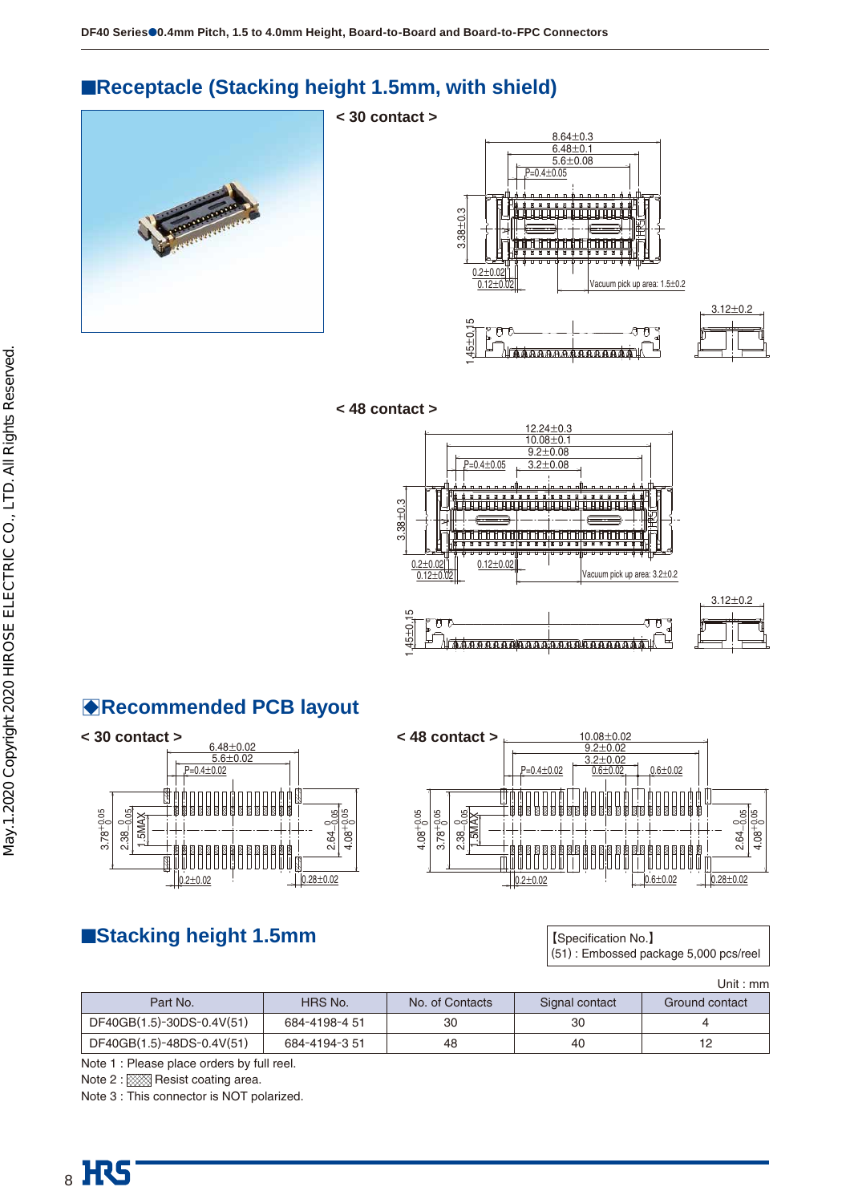# ■**Receptacle (Stacking height 1.5mm, with shield)**

**< 30 contact >**

**< 48 contact >**









1.45





# B**Recommended PCB layout**



### 10.08±0.02 9.2±0.02  $0.01$ P=0.4±0.02  $0.6 + 0.02$ bodindagaadi Titor tt n n  $3.78_{0.05}^{+0.05}$ - ဗျီဗ<br>၁၃ခု  $4.08_{0.05}^{+0.05}$  $2.38 - 0.05$ <br>1.5MAX  $2.64 4.08^{+0}$  $0.6 \pm 0.02$   $\sqrt{0.28 \pm 0.02}$  $0.2 \pm 0.02$

## ■**Stacking height 1.5mm stacking is a stacking height 1.5mm**

(51) : Embossed package 5,000 pcs/reel

|                           |               |                 |                | Unit : mm      |
|---------------------------|---------------|-----------------|----------------|----------------|
| Part No.                  | HRS No.       | No. of Contacts | Signal contact | Ground contact |
| DF40GB(1.5)-30DS-0.4V(51) | 684-4198-4 51 | 30              | 30             |                |
| DF40GB(1.5)-48DS-0.4V(51) | 684-4194-3.51 | 48              | 40             | 12             |

Note 1 : Please place orders by full reel.

Note 2 : XXX Resist coating area.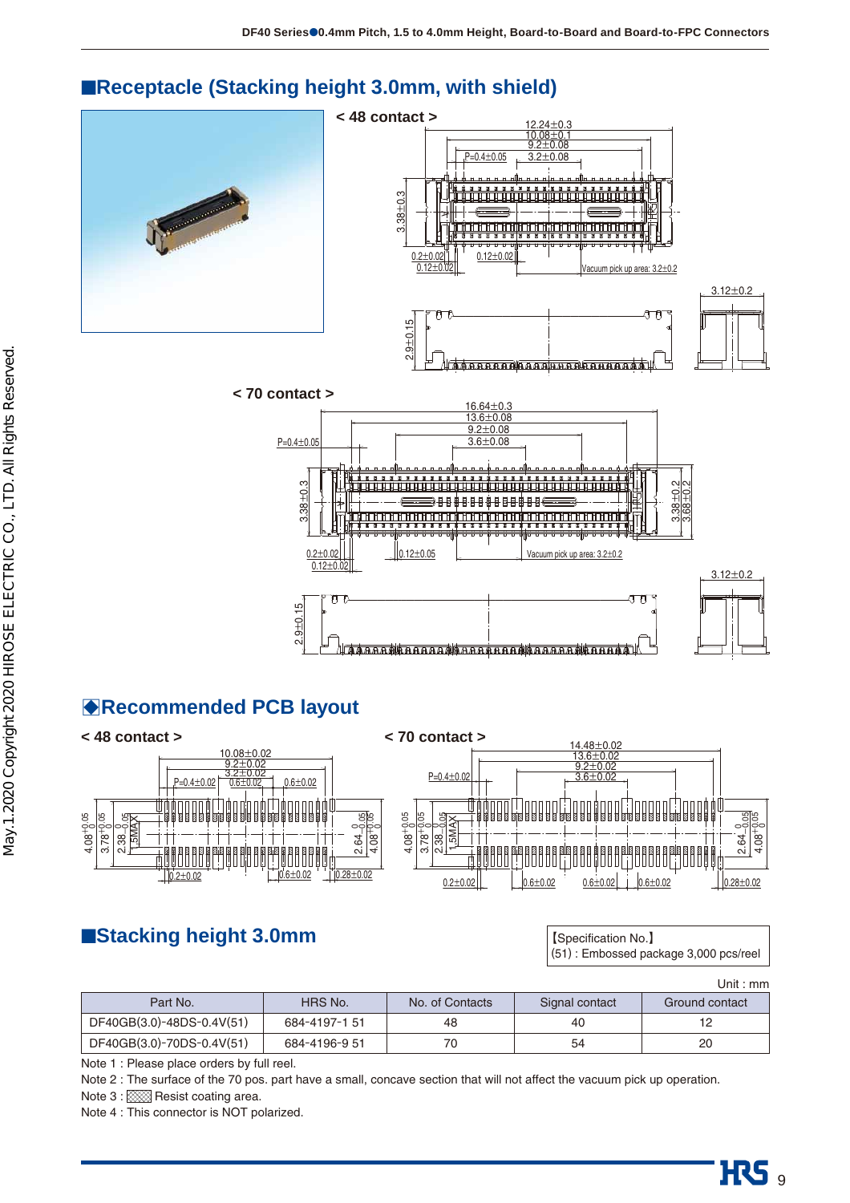

റു<br>വ  $\pm0.15$ 

 $0.2 + 0.02$ 0.12±0.02

ਸਾ

## ■**Receptacle (Stacking height 3.0mm, with shield)**



acuum pick up area: 3.2±0.2

ीना



 $0.12 + 0.02$ 

**< 70 contact >**

റു<br>വ

# **BRecommended PCB layout**



# ■**Stacking height 3.0mm stacking is a stacking height 3.0mm and [Specification No.**】

(51) : Embossed package 3,000 pcs/reel

|                           |               |                 |                | Unit : mm      |
|---------------------------|---------------|-----------------|----------------|----------------|
| Part No.                  | HRS No.       | No. of Contacts | Signal contact | Ground contact |
| DF40GB(3.0)-48DS-0.4V(51) | 684-4197-151  | 48              | 40             | 12             |
| DF40GB(3.0)-70DS-0.4V(51) | 684-4196-9 51 | 70              | 54             | 20             |

Note 1 : Please place orders by full reel.

Note 2 : The surface of the 70 pos. part have a small, concave section that will not affect the vacuum pick up operation.

Note 3 : XXX Resist coating area.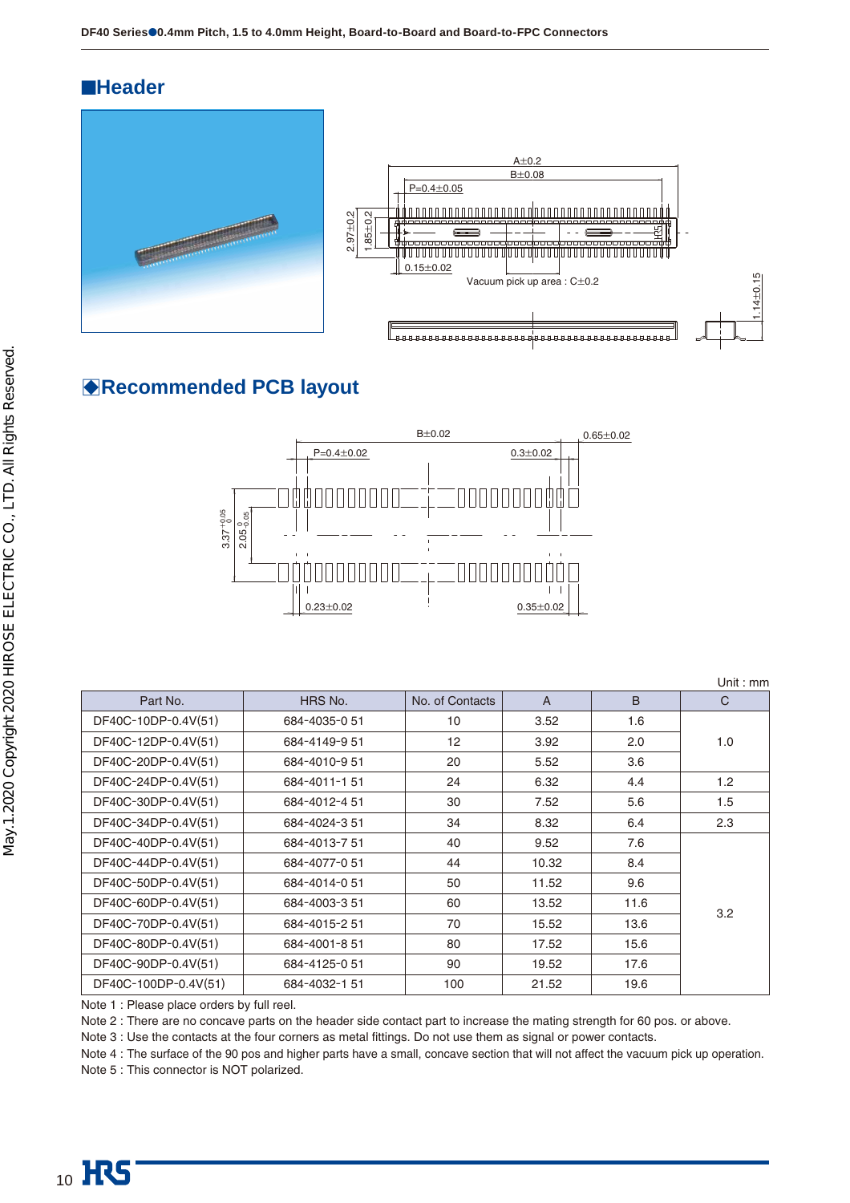## ■**Header**





Unit : mm

## B**Recommended PCB layout**



Part No. Solution A B C Contacts A B C DF40C-10DP-0.4V(51) 684-4035-0 51 10 3.52 1.6 DF40C-12DP-0.4V(51) 684-4149-9 51 12 3.92 2.0 1.0 DF40C-20DP-0.4V(51) 684-4010-9 51 20 5.52 3.6 DF40C-24DP-0.4V(51) 684-4011-1 51 24 6.32 4.4 1.2 DF40C-30DP-0.4V(51) 684-4012-4 51 30 7.52 5.6 1.5  $DE40C-34DP-0.4V(51)$  684-4024-3 51 34 8.32 6.4 2.3 DF40C-40DP-0.4V(51) 684-4013-7 51 40 9.52 7.6 3.2 DF40C-44DP-0.4V(51) 684-4077-0 51 44 10.32 8.4 DF40C-50DP-0.4V(51) 684-4014-0 51 50 11.52 9.6 DF40C-60DP-0.4V(51) 684-4003-3 51 60 13.52 11.6 DF40C-70DP-0.4V(51) 684-4015-2 51 70 15.52 13.6 DF40C-80DP-0.4V(51) 684-4001-8 51 80 17.52 15.6 DF40C-90DP-0.4V(51) 684-4125-0 51 90 19.52 17.6 DF40C-100DP-0.4V(51) 684-4032-1 51 100 21.52 19.6

Note 1 : Please place orders by full reel.

Note 2 : There are no concave parts on the header side contact part to increase the mating strength for 60 pos. or above.

Note 3 : Use the contacts at the four corners as metal fittings. Do not use them as signal or power contacts.

Note 4 : The surface of the 90 pos and higher parts have a small, concave section that will not affect the vacuum pick up operation.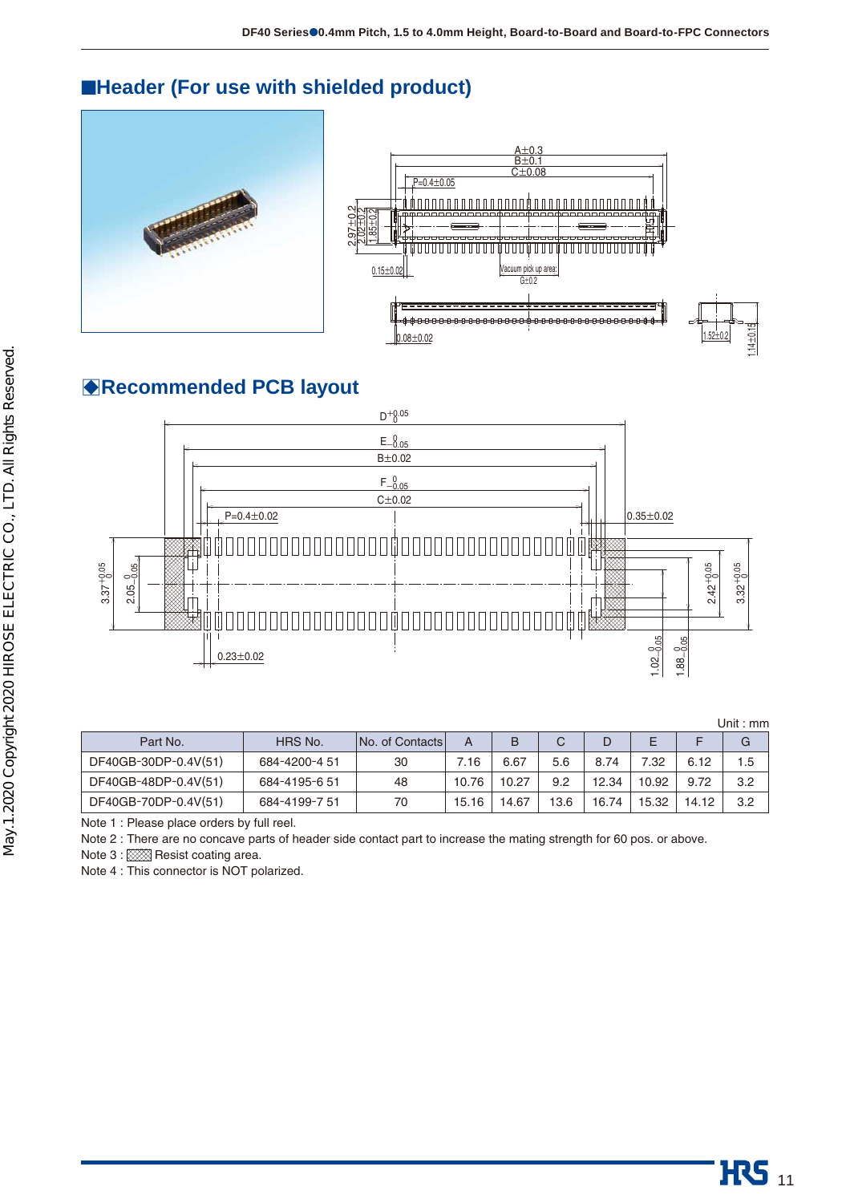# ■**Header (For use with shielded product)**





# B**Recommended PCB layout**



|                      |               |                        |       |       |      |       |       |       | Unit : mm |
|----------------------|---------------|------------------------|-------|-------|------|-------|-------|-------|-----------|
| Part No.             | HRS No.       | <b>No. of Contacts</b> | A     | B     | C    |       | E     |       | G         |
| DF40GB-30DP-0.4V(51) | 684-4200-4 51 | 30                     | 7.16  | 6.67  | 5.6  | 8.74  | 7.32  | 6.12  | 1.5       |
| DF40GB-48DP-0.4V(51) | 684-4195-6 51 | 48                     | 10.76 | 10.27 | 9.2  | 12.34 | 10.92 | 9.72  | 3.2       |
| DF40GB-70DP-0.4V(51) | 684-4199-7 51 | 70                     | 15.16 | 14.67 | 13.6 | 16.74 | 15.32 | 14.12 | 3.2       |

Note 1 : Please place orders by full reel.

Note 2 : There are no concave parts of header side contact part to increase the mating strength for 60 pos. or above.

Note 3 : XXXXI Resist coating area.

Note 4 : This connector is NOT polarized.

 $.14 \pm 0.15$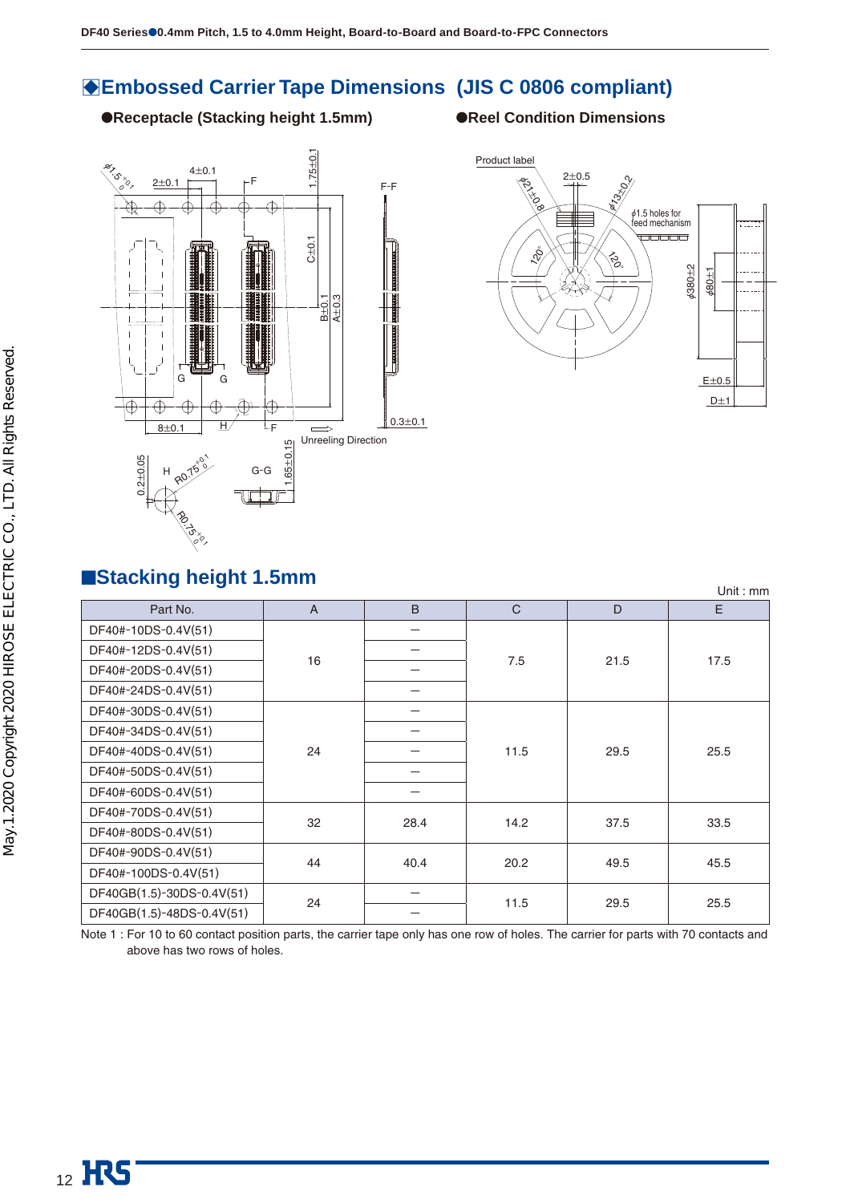# **BEmbossed Carrier Tape Dimensions (JIS C 0806 compliant)**

●**Receptacle (Stacking height 1.5mm)** ●**Reel Condition Dimensions**





## ■**Stacking height 1.5mm**

| $\blacksquare$            |                |      |              |      | Unit: $mm$ |
|---------------------------|----------------|------|--------------|------|------------|
| Part No.                  | $\overline{A}$ | B    | $\mathsf{C}$ | D    | E.         |
| DF40#-10DS-0.4V(51)       |                |      |              |      |            |
| DF40#-12DS-0.4V(51)       | 16             |      | 7.5          | 21.5 | 17.5       |
| DF40#-20DS-0.4V(51)       |                |      |              |      |            |
| DF40#-24DS-0.4V(51)       |                |      |              |      |            |
| DF40#-30DS-0.4V(51)       |                |      |              |      |            |
| DF40#-34DS-0.4V(51)       |                |      | 11.5         | 29.5 |            |
| DF40#-40DS-0.4V(51)       | 24             |      |              |      | 25.5       |
| DF40#-50DS-0.4V(51)       |                |      |              |      |            |
| DF40#-60DS-0.4V(51)       |                |      |              |      |            |
| DF40#-70DS-0.4V(51)       | 32             |      |              | 37.5 |            |
| DF40#-80DS-0.4V(51)       |                | 28.4 | 14.2         |      | 33.5       |
| DF40#-90DS-0.4V(51)       | 44             |      |              | 49.5 |            |
| DF40#-100DS-0.4V(51)      |                | 40.4 | 20.2         |      | 45.5       |
| DF40GB(1.5)-30DS-0.4V(51) |                |      |              |      |            |
| DF40GB(1.5)-48DS-0.4V(51) | 24             |      | 11.5         | 29.5 | 25.5       |

Note 1 : For 10 to 60 contact position parts, the carrier tape only has one row of holes. The carrier for parts with 70 contacts and above has two rows of holes.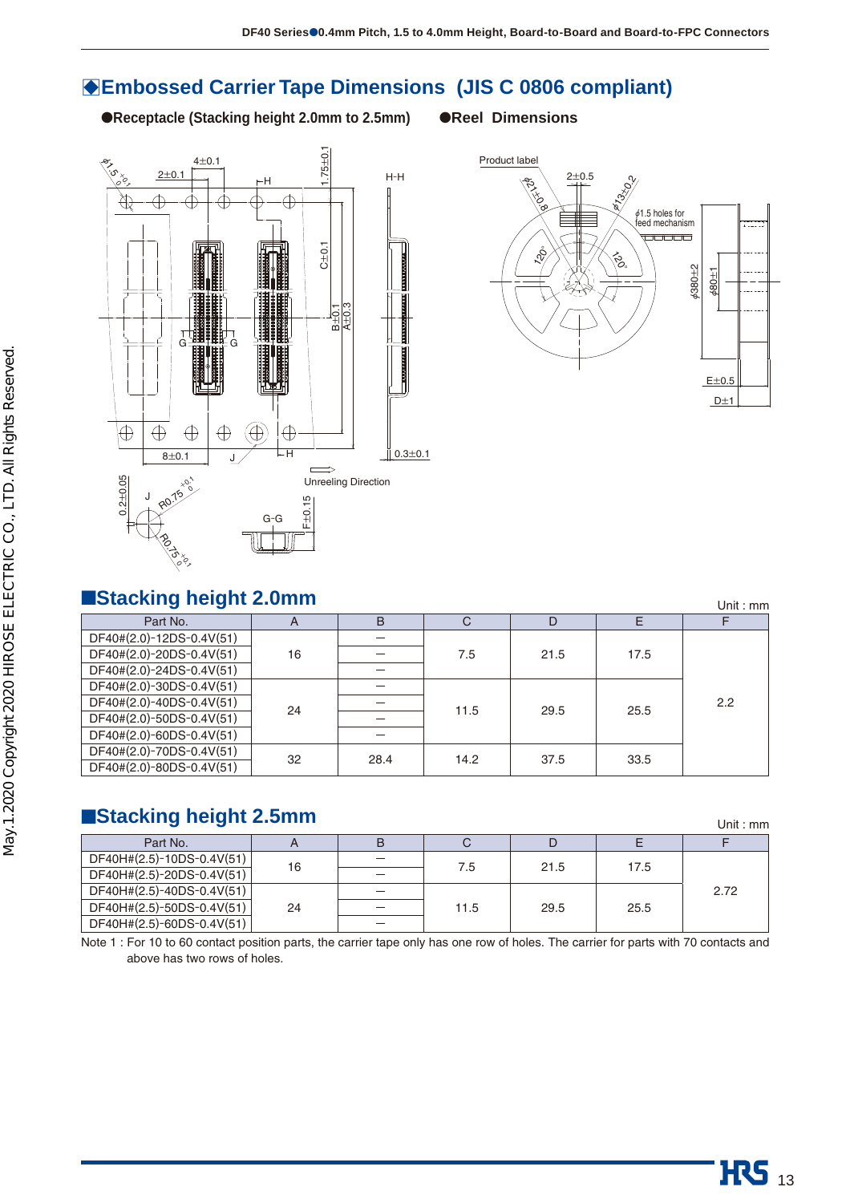# **BEmbossed Carrier Tape Dimensions (JIS C 0806 compliant)**

●**Receptacle (Stacking height 2.0mm to 2.5mm)** ●**Reel Dimensions**







## ■**Stacking height 2.0mm**

| ■Stacking height 2.0mm   |    |      |      |      |      | Unit: $mm$ |
|--------------------------|----|------|------|------|------|------------|
| Part No.                 | A  | B    | C    | D    | E    |            |
| DF40#(2.0)-12DS-0.4V(51) |    |      |      |      |      |            |
| DF40#(2.0)-20DS-0.4V(51) | 16 |      | 7.5  | 21.5 | 17.5 |            |
| DF40#(2.0)-24DS-0.4V(51) |    |      |      |      |      |            |
| DF40#(2.0)-30DS-0.4V(51) |    |      |      |      |      |            |
| DF40#(2.0)-40DS-0.4V(51) | 24 |      | 11.5 | 29.5 | 25.5 | 2.2        |
| DF40#(2.0)-50DS-0.4V(51) |    |      |      |      |      |            |
| DF40#(2.0)-60DS-0.4V(51) |    |      |      |      |      |            |
| DF40#(2.0)-70DS-0.4V(51) | 32 | 28.4 | 14.2 | 37.5 | 33.5 |            |
| DF40#(2.0)-80DS-0.4V(51) |    |      |      |      |      |            |

# ■Stacking height 2.5mm

| Part No.                  |    | в                        |      |      |      |      |
|---------------------------|----|--------------------------|------|------|------|------|
| DF40H#(2.5)-10DS-0.4V(51) | 16 | $\overline{\phantom{0}}$ |      | 21.5 |      |      |
| DF40H#(2.5)-20DS-0.4V(51) |    | -                        | 7.5  |      | 17.5 |      |
| DF40H#(2.5)-40DS-0.4V(51) |    | $\overline{\phantom{0}}$ |      |      |      | 2.72 |
| DF40H#(2.5)-50DS-0.4V(51) | 24 |                          | 11.5 | 29.5 | 25.5 |      |
| DF40H#(2.5)-60DS-0.4V(51) |    |                          |      |      |      |      |

Note 1 : For 10 to 60 contact position parts, the carrier tape only has one row of holes. The carrier for parts with 70 contacts and above has two rows of holes.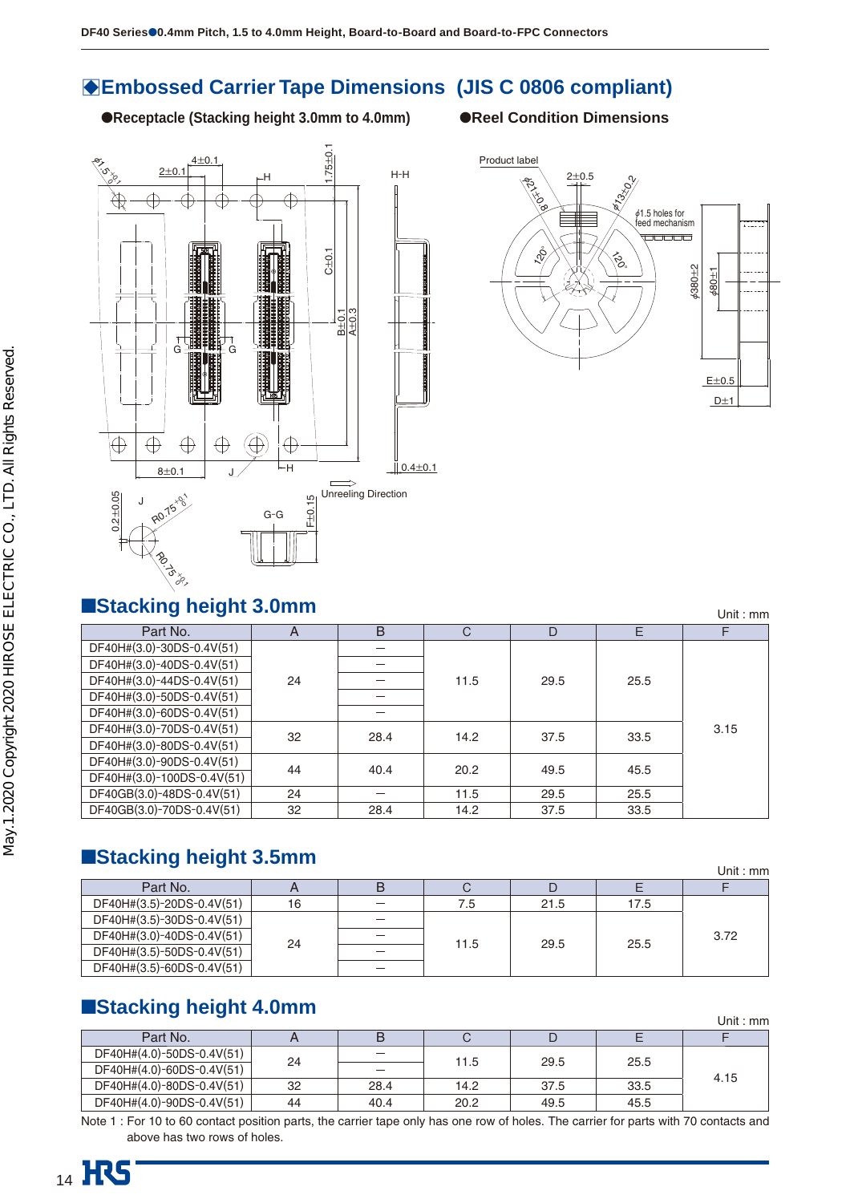# $\bullet$  **Embossed Carrier Tape Dimensions (JIS C 0806 compliant)**

●**Receptacle (Stacking height 3.0mm to 4.0mm)** ●**Reel Condition Dimensions**





■Stacking height 3.0mm Part No. A B CD E F DF40H#(3.0)-30DS-0.4V(51) 24 - 11.5 29.5 25.5 3.15 DF40H#(3.0)-40DS-0.4V(51) DF40H#(3.0)-44DS-0.4V(51) DF40H#(3.0)-50DS-0.4V(51) DF40H#(3.0)-60DS-0.4V(51)  $\begin{array}{|c|c|c|c|c|c|c|c|}\n\hline\nDE40H\#(3.0)-70DS-0.4V(51) & 32 & 28.4 & 14.2 & 37.5 & 33.5\n\hline\nDE40H\#(3.0)-80DS-0.4V(51) & 32 & 28.4 & 14.2 & 37.5 & 33.5\n\hline\n\end{array}$  $\begin{array}{|c|c|c|c|c|c|c|c|}\n\hline\nDE40H\#(3.0)-90DS-0.4V(51) & & & 44 & 40.4 & 20.2 & 49.5 & 45.5\n\hline\nDE40H\#(3.0)-100DS-0.4V(51) & & & 44 & 20.4 & 20.2 & 49.5 & 45.5\n\hline\n\end{array}$  $DF40GB(3.0)-48DS-0.4V(51)$  24 - 11.5 29.5 25.5 DF40GB(3.0)-70DS-0.4V(51) 32 28.4 14.2 37.5 33.5

# ■**Stacking height 3.5mm**

|                           |    |      |      |      | Unit: $mm$ |
|---------------------------|----|------|------|------|------------|
| Part No.                  |    |      |      |      |            |
| DF40H#(3.5)-20DS-0.4V(51) | 16 | 7.5  | 21.5 | 17.5 |            |
| DF40H#(3.5)-30DS-0.4V(51) |    |      |      |      |            |
| DF40H#(3.0)-40DS-0.4V(51) | 24 |      |      | 25.5 | 3.72       |
| DF40H#(3.5)-50DS-0.4V(51) |    | 11.5 | 29.5 |      |            |
| DF40H#(3.5)-60DS-0.4V(51) |    |      |      |      |            |

# ■**Stacking height 4.0mm**

| $\blacksquare$            |    |                          |      |      |      | Unit : mm |
|---------------------------|----|--------------------------|------|------|------|-----------|
| Part No.                  |    | B                        |      |      |      |           |
| DF40H#(4.0)-50DS-0.4V(51) |    | $\overline{\phantom{m}}$ |      | 29.5 |      |           |
| DF40H#(4.0)-60DS-0.4V(51) | 24 | -                        | 11.5 |      | 25.5 | 4.15      |
| DF40H#(4.0)-80DS-0.4V(51) | 32 | 28.4                     | 14.2 | 37.5 | 33.5 |           |
| DF40H#(4.0)-90DS-0.4V(51) | 44 | 40.4                     | 20.2 | 49.5 | 45.5 |           |

Note 1 : For 10 to 60 contact position parts, the carrier tape only has one row of holes. The carrier for parts with 70 contacts and above has two rows of holes.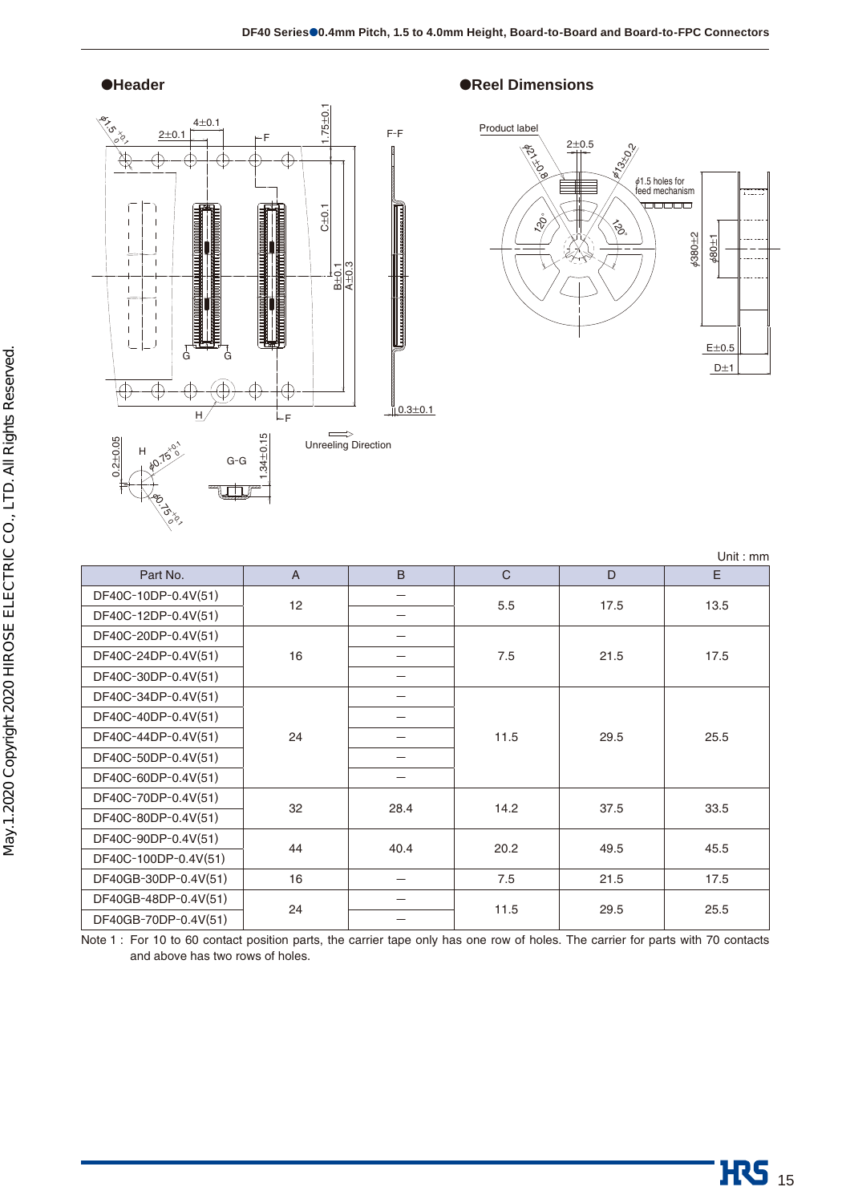

### ●**Header** ●**Reel Dimensions**



| Part No.             | $\overline{A}$ | B    | $\mathsf C$ | D    | E    |
|----------------------|----------------|------|-------------|------|------|
| DF40C-10DP-0.4V(51)  | 12             |      | 5.5         | 17.5 | 13.5 |
| DF40C-12DP-0.4V(51)  |                | –    |             |      |      |
| DF40C-20DP-0.4V(51)  |                | -    |             |      |      |
| DF40C-24DP-0.4V(51)  | 16             |      | 7.5         | 21.5 | 17.5 |
| DF40C-30DP-0.4V(51)  |                |      |             |      |      |
| DF40C-34DP-0.4V(51)  |                |      |             |      |      |
| DF40C-40DP-0.4V(51)  |                |      | 11.5        | 29.5 |      |
| DF40C-44DP-0.4V(51)  | 24             |      |             |      | 25.5 |
| DF40C-50DP-0.4V(51)  |                |      |             |      |      |
| DF40C-60DP-0.4V(51)  |                | —    |             |      |      |
| DF40C-70DP-0.4V(51)  | 32             | 28.4 | 14.2        | 37.5 | 33.5 |
| DF40C-80DP-0.4V(51)  |                |      |             |      |      |
| DF40C-90DP-0.4V(51)  | 44             | 40.4 | 20.2        | 49.5 | 45.5 |
| DF40C-100DP-0.4V(51) |                |      |             |      |      |
| DF40GB-30DP-0.4V(51) | 16             | —    | 7.5         | 21.5 | 17.5 |
| DF40GB-48DP-0.4V(51) | 24             |      | 11.5        | 29.5 | 25.5 |
| DF40GB-70DP-0.4V(51) |                |      |             |      |      |

Note 1 : For 10 to 60 contact position parts, the carrier tape only has one row of holes. The carrier for parts with 70 contacts and above has two rows of holes.

Unit : mm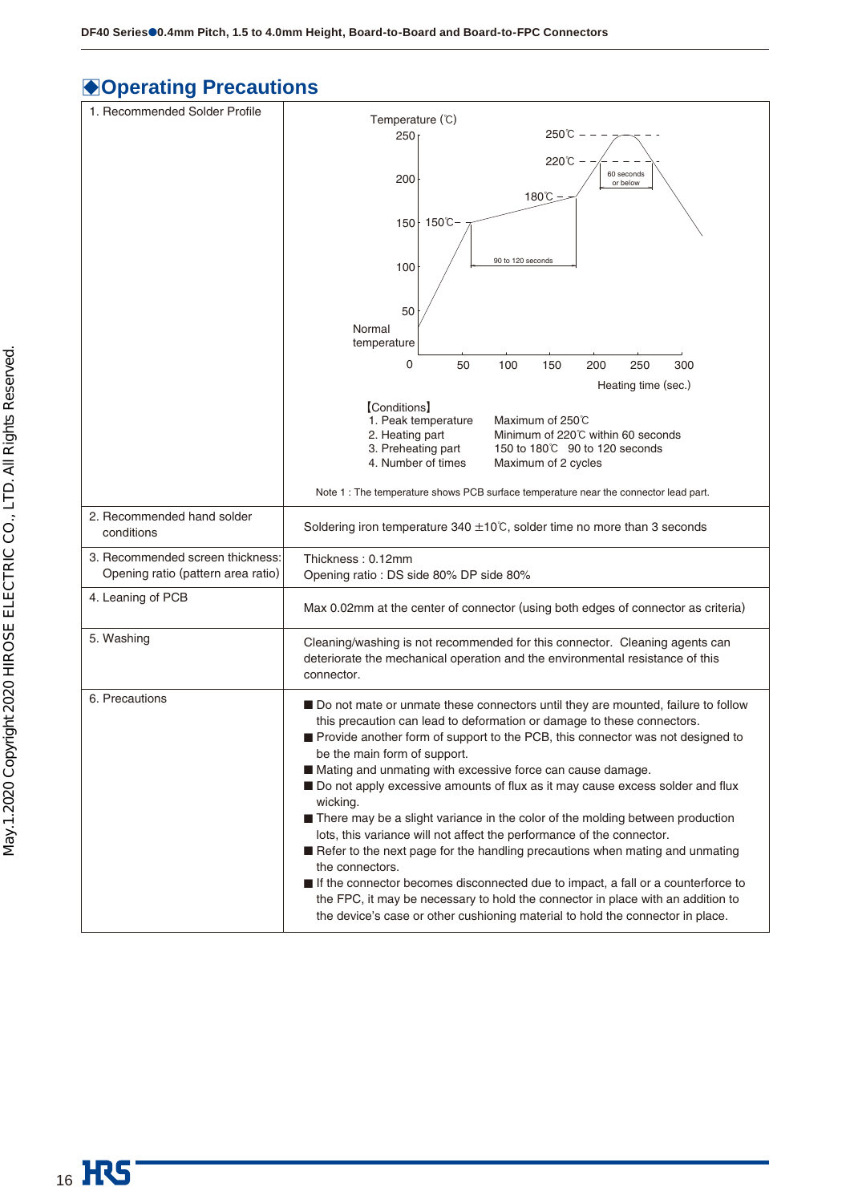# $\bigcirc$  **Operating Precautions**

| 1. Recommended Solder Profile                                          | Temperature (°C)                                                                                                                                                                                                                                                                                                                                                                                                                                                                                                                                                                                                                                                                                                                                                                                                                                                                                                                                                    |
|------------------------------------------------------------------------|---------------------------------------------------------------------------------------------------------------------------------------------------------------------------------------------------------------------------------------------------------------------------------------------------------------------------------------------------------------------------------------------------------------------------------------------------------------------------------------------------------------------------------------------------------------------------------------------------------------------------------------------------------------------------------------------------------------------------------------------------------------------------------------------------------------------------------------------------------------------------------------------------------------------------------------------------------------------|
|                                                                        | 250℃<br>1250                                                                                                                                                                                                                                                                                                                                                                                                                                                                                                                                                                                                                                                                                                                                                                                                                                                                                                                                                        |
|                                                                        | 220℃ -                                                                                                                                                                                                                                                                                                                                                                                                                                                                                                                                                                                                                                                                                                                                                                                                                                                                                                                                                              |
|                                                                        | 60 seconds<br>200<br>or below                                                                                                                                                                                                                                                                                                                                                                                                                                                                                                                                                                                                                                                                                                                                                                                                                                                                                                                                       |
|                                                                        | 180℃                                                                                                                                                                                                                                                                                                                                                                                                                                                                                                                                                                                                                                                                                                                                                                                                                                                                                                                                                                |
|                                                                        | 150 150℃                                                                                                                                                                                                                                                                                                                                                                                                                                                                                                                                                                                                                                                                                                                                                                                                                                                                                                                                                            |
|                                                                        |                                                                                                                                                                                                                                                                                                                                                                                                                                                                                                                                                                                                                                                                                                                                                                                                                                                                                                                                                                     |
|                                                                        | 90 to 120 seconds<br>100                                                                                                                                                                                                                                                                                                                                                                                                                                                                                                                                                                                                                                                                                                                                                                                                                                                                                                                                            |
|                                                                        |                                                                                                                                                                                                                                                                                                                                                                                                                                                                                                                                                                                                                                                                                                                                                                                                                                                                                                                                                                     |
|                                                                        | 50<br>Normal                                                                                                                                                                                                                                                                                                                                                                                                                                                                                                                                                                                                                                                                                                                                                                                                                                                                                                                                                        |
|                                                                        | temperature                                                                                                                                                                                                                                                                                                                                                                                                                                                                                                                                                                                                                                                                                                                                                                                                                                                                                                                                                         |
|                                                                        | 0<br>50<br>100<br>150<br>200<br>250<br>300                                                                                                                                                                                                                                                                                                                                                                                                                                                                                                                                                                                                                                                                                                                                                                                                                                                                                                                          |
|                                                                        | Heating time (sec.)                                                                                                                                                                                                                                                                                                                                                                                                                                                                                                                                                                                                                                                                                                                                                                                                                                                                                                                                                 |
|                                                                        | [Conditions]<br>1. Peak temperature<br>Maximum of 250℃                                                                                                                                                                                                                                                                                                                                                                                                                                                                                                                                                                                                                                                                                                                                                                                                                                                                                                              |
|                                                                        | Minimum of 220℃ within 60 seconds<br>2. Heating part                                                                                                                                                                                                                                                                                                                                                                                                                                                                                                                                                                                                                                                                                                                                                                                                                                                                                                                |
|                                                                        | 3. Preheating part<br>150 to 180°C 90 to 120 seconds<br>4. Number of times<br>Maximum of 2 cycles                                                                                                                                                                                                                                                                                                                                                                                                                                                                                                                                                                                                                                                                                                                                                                                                                                                                   |
|                                                                        | Note 1 : The temperature shows PCB surface temperature near the connector lead part.                                                                                                                                                                                                                                                                                                                                                                                                                                                                                                                                                                                                                                                                                                                                                                                                                                                                                |
| 2. Recommended hand solder<br>conditions                               | Soldering iron temperature 340 $\pm$ 10°C, solder time no more than 3 seconds                                                                                                                                                                                                                                                                                                                                                                                                                                                                                                                                                                                                                                                                                                                                                                                                                                                                                       |
| 3. Recommended screen thickness:<br>Opening ratio (pattern area ratio) | Thickness: 0.12mm<br>Opening ratio : DS side 80% DP side 80%                                                                                                                                                                                                                                                                                                                                                                                                                                                                                                                                                                                                                                                                                                                                                                                                                                                                                                        |
| 4. Leaning of PCB                                                      | Max 0.02mm at the center of connector (using both edges of connector as criteria)                                                                                                                                                                                                                                                                                                                                                                                                                                                                                                                                                                                                                                                                                                                                                                                                                                                                                   |
| 5. Washing                                                             | Cleaning/washing is not recommended for this connector. Cleaning agents can<br>deteriorate the mechanical operation and the environmental resistance of this<br>connector.                                                                                                                                                                                                                                                                                                                                                                                                                                                                                                                                                                                                                                                                                                                                                                                          |
| 6. Precautions                                                         | ■ Do not mate or unmate these connectors until they are mounted, failure to follow<br>this precaution can lead to deformation or damage to these connectors.<br>Provide another form of support to the PCB, this connector was not designed to<br>be the main form of support.<br>■ Mating and unmating with excessive force can cause damage.<br>Do not apply excessive amounts of flux as it may cause excess solder and flux<br>wicking.<br>■ There may be a slight variance in the color of the molding between production<br>lots, this variance will not affect the performance of the connector.<br>Refer to the next page for the handling precautions when mating and unmating<br>the connectors.<br>If the connector becomes disconnected due to impact, a fall or a counterforce to<br>the FPC, it may be necessary to hold the connector in place with an addition to<br>the device's case or other cushioning material to hold the connector in place. |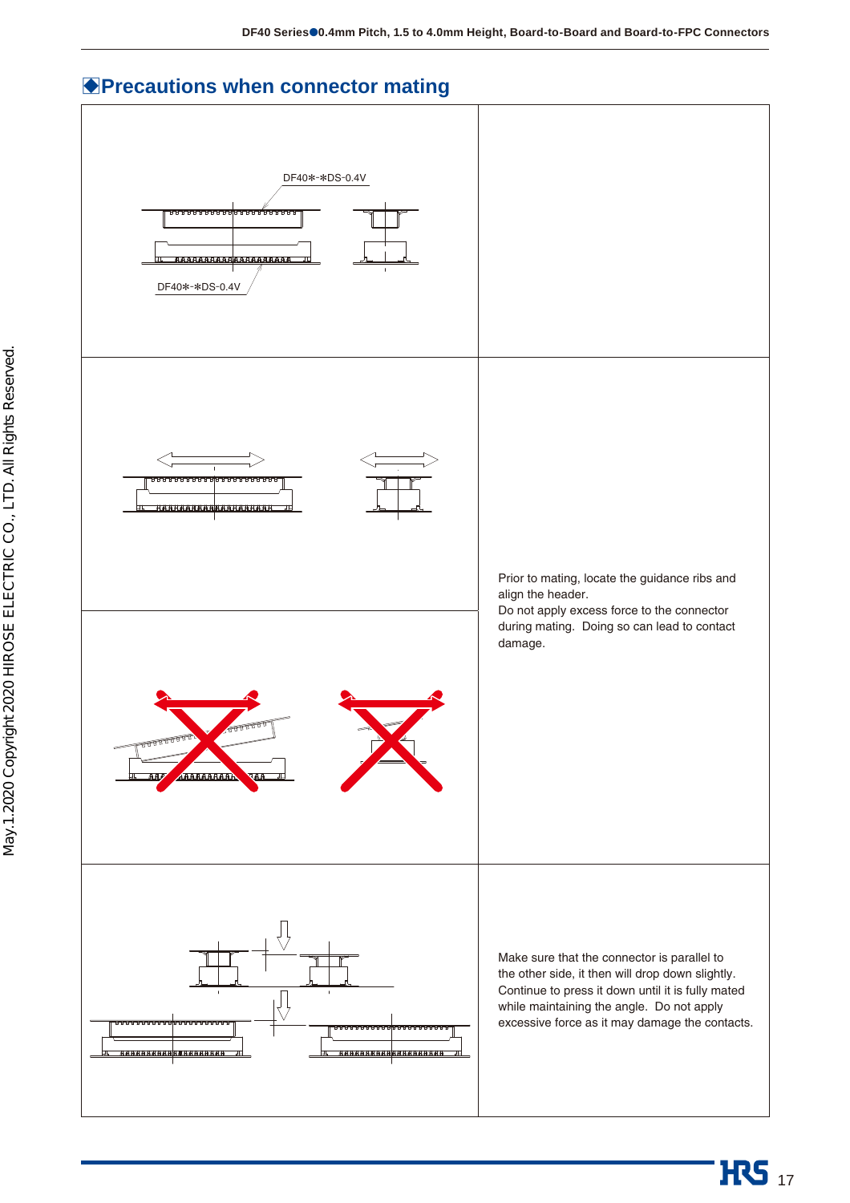## **Precautions when connector mating**

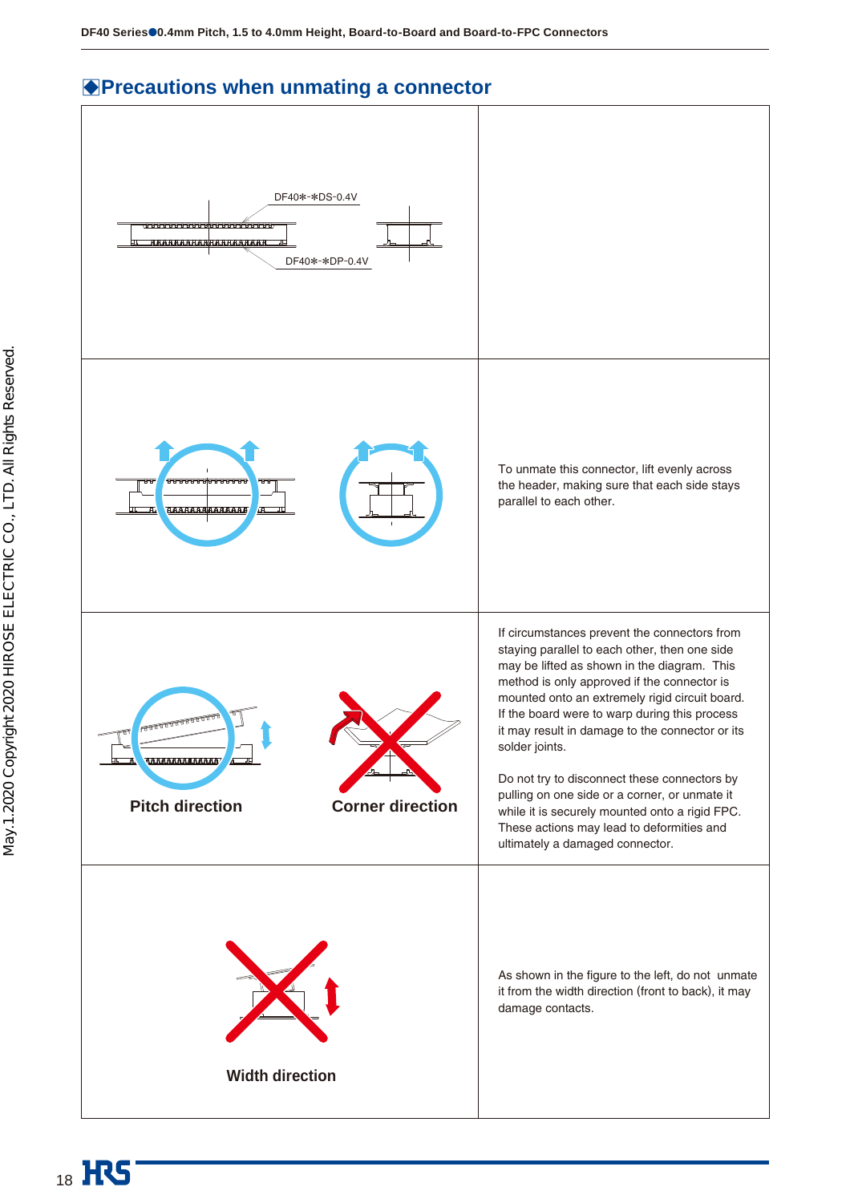## **Precautions when unmating a connector**

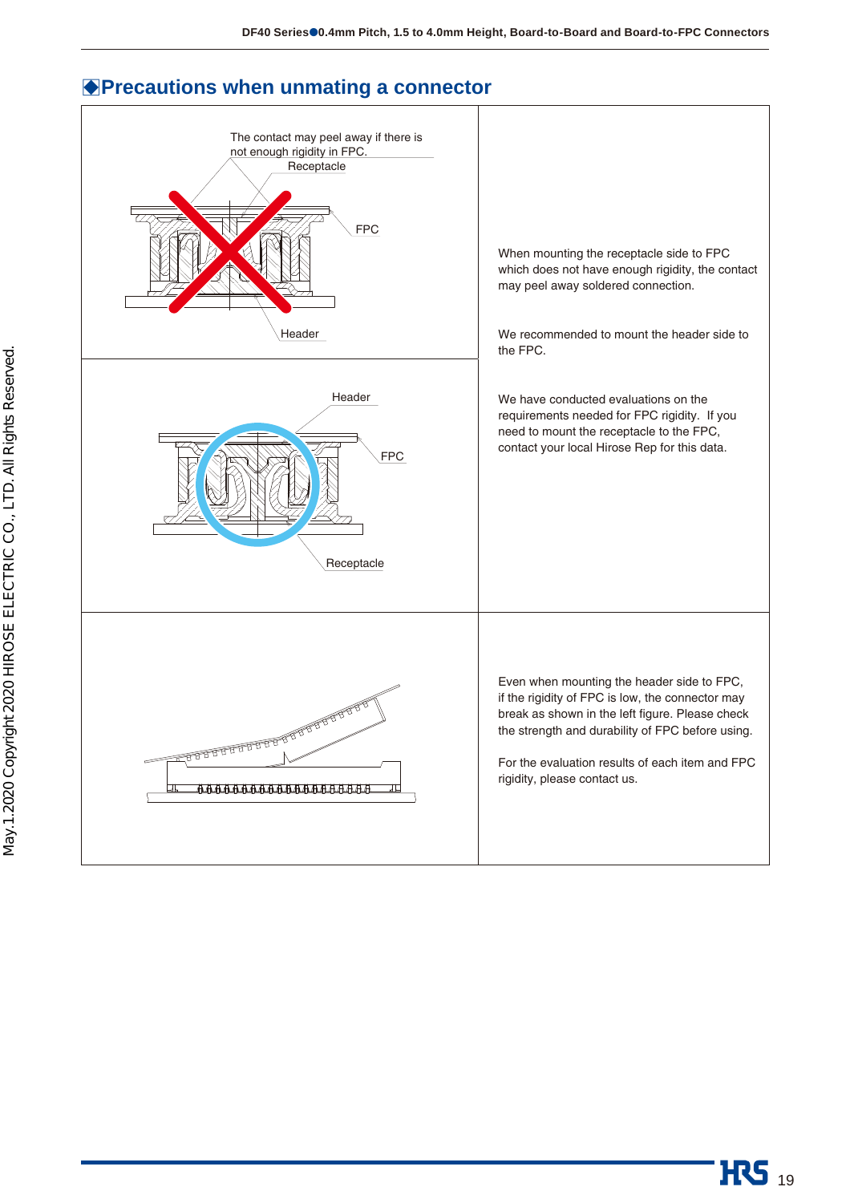